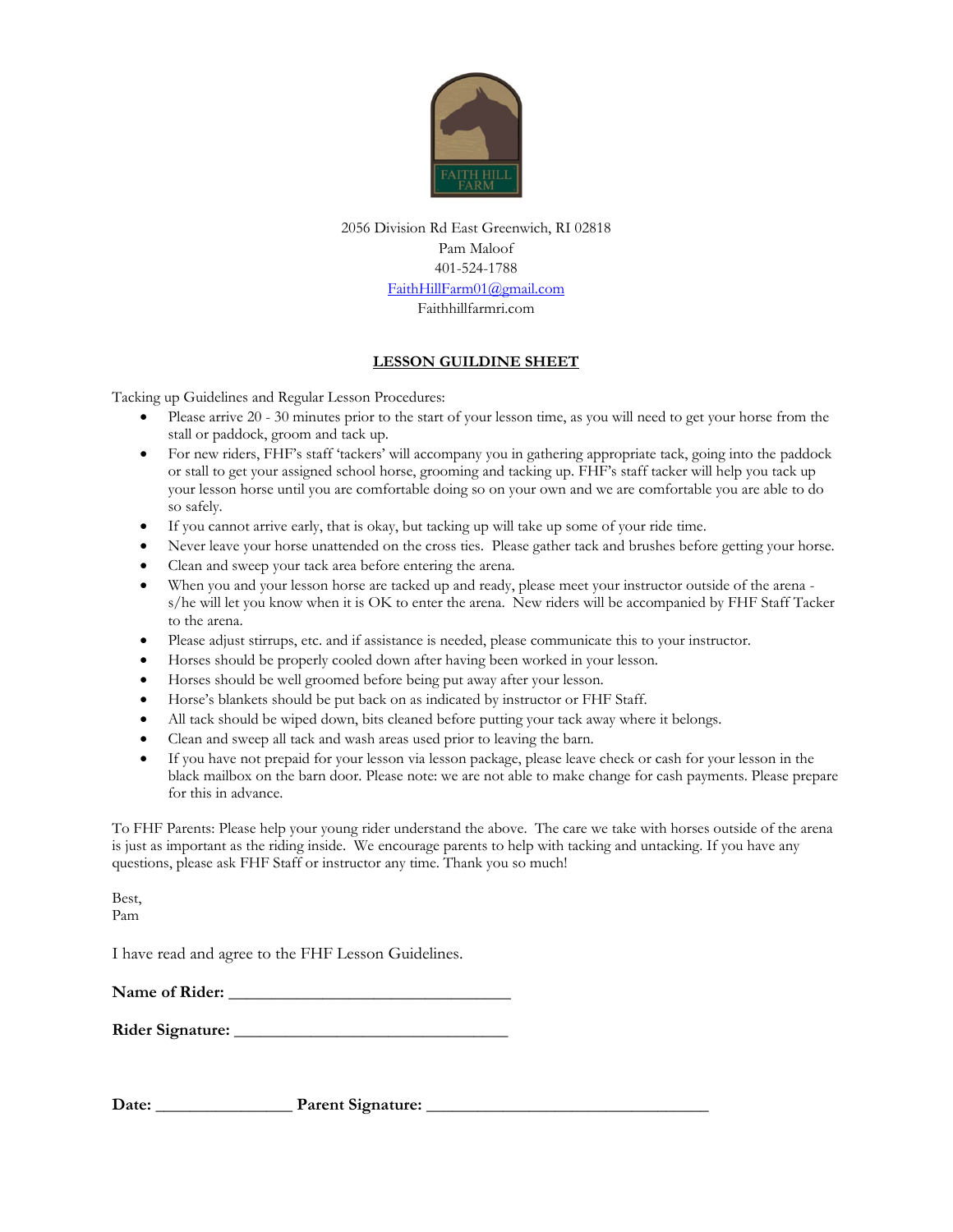

2056 Division Rd East Greenwich, RI 02818 Pam Maloof 401-524-1788 [FaithHillFarm01@gmail.com](mailto:FaithHillFarm01@gmail.com) Faithhillfarmri.com

## **LESSON GUILDINE SHEET**

Tacking up Guidelines and Regular Lesson Procedures:

- Please arrive 20 30 minutes prior to the start of your lesson time, as you will need to get your horse from the stall or paddock, groom and tack up.
- For new riders, FHF's staff 'tackers' will accompany you in gathering appropriate tack, going into the paddock or stall to get your assigned school horse, grooming and tacking up. FHF's staff tacker will help you tack up your lesson horse until you are comfortable doing so on your own and we are comfortable you are able to do so safely.
- If you cannot arrive early, that is okay, but tacking up will take up some of your ride time.
- Never leave your horse unattended on the cross ties. Please gather tack and brushes before getting your horse.
- Clean and sweep your tack area before entering the arena.
- When you and your lesson horse are tacked up and ready, please meet your instructor outside of the arena s/he will let you know when it is OK to enter the arena. New riders will be accompanied by FHF Staff Tacker to the arena.
- Please adjust stirrups, etc. and if assistance is needed, please communicate this to your instructor.
- Horses should be properly cooled down after having been worked in your lesson.
- Horses should be well groomed before being put away after your lesson.
- Horse's blankets should be put back on as indicated by instructor or FHF Staff.
- All tack should be wiped down, bits cleaned before putting your tack away where it belongs.
- Clean and sweep all tack and wash areas used prior to leaving the barn.
- If you have not prepaid for your lesson via lesson package, please leave check or cash for your lesson in the black mailbox on the barn door. Please note: we are not able to make change for cash payments. Please prepare for this in advance.

To FHF Parents: Please help your young rider understand the above. The care we take with horses outside of the arena is just as important as the riding inside. We encourage parents to help with tacking and untacking. If you have any questions, please ask FHF Staff or instructor any time. Thank you so much!

Best, Pam

I have read and agree to the FHF Lesson Guidelines.

| Name of Rider: |  |
|----------------|--|
|                |  |

| <b>Rider Signature:</b> |  |
|-------------------------|--|
|-------------------------|--|

Date: **Parent Signature:**  $\blacksquare$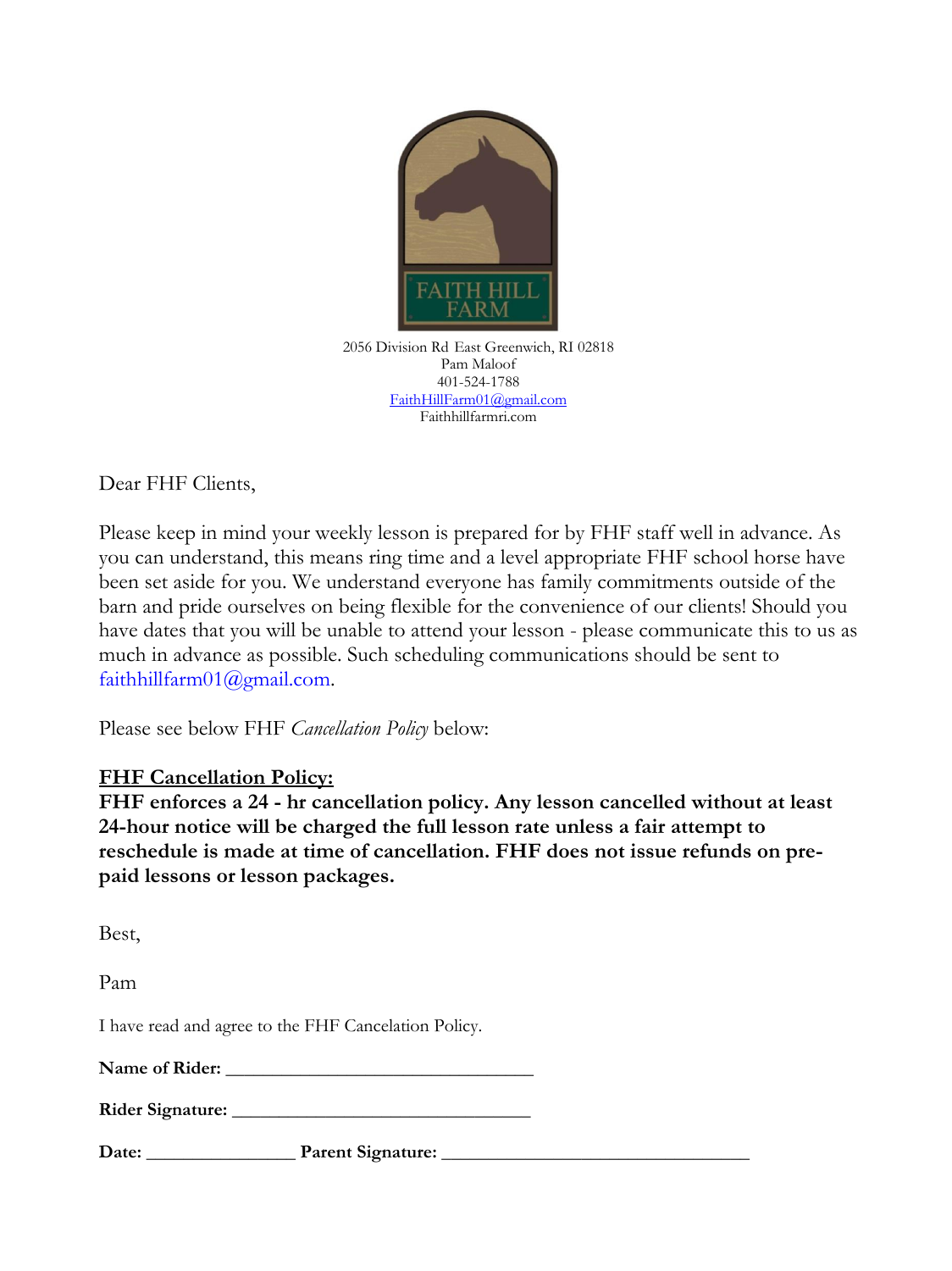

2056 Division Rd East Greenwich, RI 02818 Pam Maloof 401-524-1788 [FaithHillFarm01@gmail.com](mailto:FaithHillFarm01@gmail.com) Faithhillfarmri.com

Dear FHF Clients,

Please keep in mind your weekly lesson is prepared for by FHF staff well in advance. As you can understand, this means ring time and a level appropriate FHF school horse have been set aside for you. We understand everyone has family commitments outside of the barn and pride ourselves on being flexible for the convenience of our clients! Should you have dates that you will be unable to attend your lesson - please communicate this to us as much in advance as possible. Such scheduling communications should be sent to faithhillfarm01@gmail.com.

Please see below FHF *Cancellation Policy* below:

## **FHF Cancellation Policy:**

**FHF enforces a 24 - hr cancellation policy. Any lesson cancelled without at least 24-hour notice will be charged the full lesson rate unless a fair attempt to reschedule is made at time of cancellation. FHF does not issue refunds on prepaid lessons or lesson packages.** 

Best,

Pam

I have read and agree to the FHF Cancelation Policy.

| <b>Name of Rider:</b> |  |
|-----------------------|--|
|                       |  |

| <b>Rider Signature:</b> |  |
|-------------------------|--|
|                         |  |

**Date: \_\_\_\_\_\_\_\_\_\_\_\_\_\_\_\_ Parent Signature: \_\_\_\_\_\_\_\_\_\_\_\_\_\_\_\_\_\_\_\_\_\_\_\_\_\_\_\_\_\_\_\_\_**